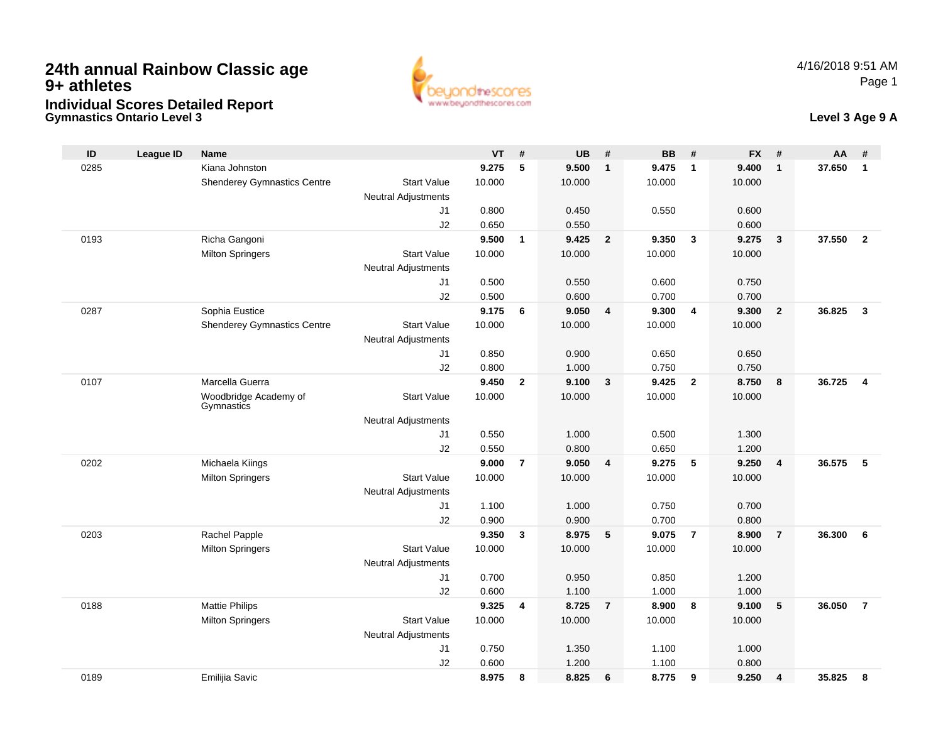**Gymnastics Ontario Level 3**



#### **Level 3 Age 9 A**

| ID   | <b>League ID</b> | <b>Name</b>                         |                            | <b>VT</b> | #              | <b>UB</b> | #                       | <b>BB</b> | #              | <b>FX</b> | #                       | <b>AA</b> | #                       |
|------|------------------|-------------------------------------|----------------------------|-----------|----------------|-----------|-------------------------|-----------|----------------|-----------|-------------------------|-----------|-------------------------|
| 0285 |                  | Kiana Johnston                      |                            | 9.275     | $\sqrt{5}$     | 9.500     | $\mathbf{1}$            | 9.475     | $\overline{1}$ | 9.400     | $\mathbf{1}$            | 37.650    | $\mathbf{1}$            |
|      |                  | <b>Shenderey Gymnastics Centre</b>  | <b>Start Value</b>         | 10.000    |                | 10.000    |                         | 10.000    |                | 10.000    |                         |           |                         |
|      |                  |                                     | <b>Neutral Adjustments</b> |           |                |           |                         |           |                |           |                         |           |                         |
|      |                  |                                     | J1                         | 0.800     |                | 0.450     |                         | 0.550     |                | 0.600     |                         |           |                         |
|      |                  |                                     | J2                         | 0.650     |                | 0.550     |                         |           |                | 0.600     |                         |           |                         |
| 0193 |                  | Richa Gangoni                       |                            | 9.500     | $\mathbf{1}$   | 9.425     | $\overline{2}$          | 9.350     | $\mathbf{3}$   | 9.275     | $\mathbf{3}$            | 37.550 2  |                         |
|      |                  | <b>Milton Springers</b>             | <b>Start Value</b>         | 10.000    |                | 10.000    |                         | 10.000    |                | 10.000    |                         |           |                         |
|      |                  |                                     | <b>Neutral Adjustments</b> |           |                |           |                         |           |                |           |                         |           |                         |
|      |                  |                                     | J1                         | 0.500     |                | 0.550     |                         | 0.600     |                | 0.750     |                         |           |                         |
|      |                  |                                     | J2                         | 0.500     |                | 0.600     |                         | 0.700     |                | 0.700     |                         |           |                         |
| 0287 |                  | Sophia Eustice                      |                            | 9.175     | 6              | 9.050     | $\overline{\mathbf{4}}$ | 9.300     | $\overline{4}$ | 9.300     | $\overline{2}$          | 36.825    | $\mathbf{3}$            |
|      |                  | <b>Shenderey Gymnastics Centre</b>  | <b>Start Value</b>         | 10.000    |                | 10.000    |                         | 10.000    |                | 10.000    |                         |           |                         |
|      |                  |                                     | <b>Neutral Adjustments</b> |           |                |           |                         |           |                |           |                         |           |                         |
|      |                  |                                     | J1                         | 0.850     |                | 0.900     |                         | 0.650     |                | 0.650     |                         |           |                         |
|      |                  |                                     | J2                         | 0.800     |                | 1.000     |                         | 0.750     |                | 0.750     |                         |           |                         |
| 0107 |                  | Marcella Guerra                     |                            | 9.450     | $\overline{2}$ | 9.100     | $\mathbf{3}$            | 9.425     | $\overline{2}$ | 8.750     | 8                       | 36.725    | $\overline{\mathbf{4}}$ |
|      |                  | Woodbridge Academy of<br>Gymnastics | <b>Start Value</b>         | 10.000    |                | 10.000    |                         | 10.000    |                | 10.000    |                         |           |                         |
|      |                  |                                     | <b>Neutral Adjustments</b> |           |                |           |                         |           |                |           |                         |           |                         |
|      |                  |                                     | J1                         | 0.550     |                | 1.000     |                         | 0.500     |                | 1.300     |                         |           |                         |
|      |                  |                                     | J2                         | 0.550     |                | 0.800     |                         | 0.650     |                | 1.200     |                         |           |                         |
| 0202 |                  | Michaela Kiings                     |                            | 9.000     | $\overline{7}$ | 9.050     | 4                       | 9.275     | 5              | 9.250     | $\overline{\mathbf{4}}$ | 36.575    | 5                       |
|      |                  | <b>Milton Springers</b>             | <b>Start Value</b>         | 10.000    |                | 10.000    |                         | 10.000    |                | 10.000    |                         |           |                         |
|      |                  |                                     | <b>Neutral Adjustments</b> |           |                |           |                         |           |                |           |                         |           |                         |
|      |                  |                                     | J1                         | 1.100     |                | 1.000     |                         | 0.750     |                | 0.700     |                         |           |                         |
|      |                  |                                     | J2                         | 0.900     |                | 0.900     |                         | 0.700     |                | 0.800     |                         |           |                         |
| 0203 |                  | Rachel Papple                       |                            | 9.350     | $\mathbf{3}$   | 8.975     | 5                       | 9.075     | $\overline{7}$ | 8.900     | $\overline{7}$          | 36,300    | 6                       |
|      |                  | <b>Milton Springers</b>             | <b>Start Value</b>         | 10.000    |                | 10.000    |                         | 10.000    |                | 10.000    |                         |           |                         |
|      |                  |                                     | <b>Neutral Adjustments</b> |           |                |           |                         |           |                |           |                         |           |                         |
|      |                  |                                     | J1                         | 0.700     |                | 0.950     |                         | 0.850     |                | 1.200     |                         |           |                         |
|      |                  |                                     | J2                         | 0.600     |                | 1.100     |                         | 1.000     |                | 1.000     |                         |           |                         |
| 0188 |                  | <b>Mattie Philips</b>               |                            | 9.325     | 4              | 8.725     | $\overline{7}$          | 8.900     | 8              | 9.100     | 5                       | 36.050    | $\overline{7}$          |
|      |                  | <b>Milton Springers</b>             | <b>Start Value</b>         | 10.000    |                | 10.000    |                         | 10.000    |                | 10.000    |                         |           |                         |
|      |                  |                                     | <b>Neutral Adjustments</b> |           |                |           |                         |           |                |           |                         |           |                         |
|      |                  |                                     | J <sub>1</sub>             | 0.750     |                | 1.350     |                         | 1.100     |                | 1.000     |                         |           |                         |
|      |                  |                                     | J2                         | 0.600     |                | 1.200     |                         | 1.100     |                | 0.800     |                         |           |                         |
| 0189 |                  | Emilijia Savic                      |                            | 8.975     | 8              | 8.825     | 6                       | 8.775     | 9              | 9.250     | $\overline{\mathbf{4}}$ | 35.825    | 8                       |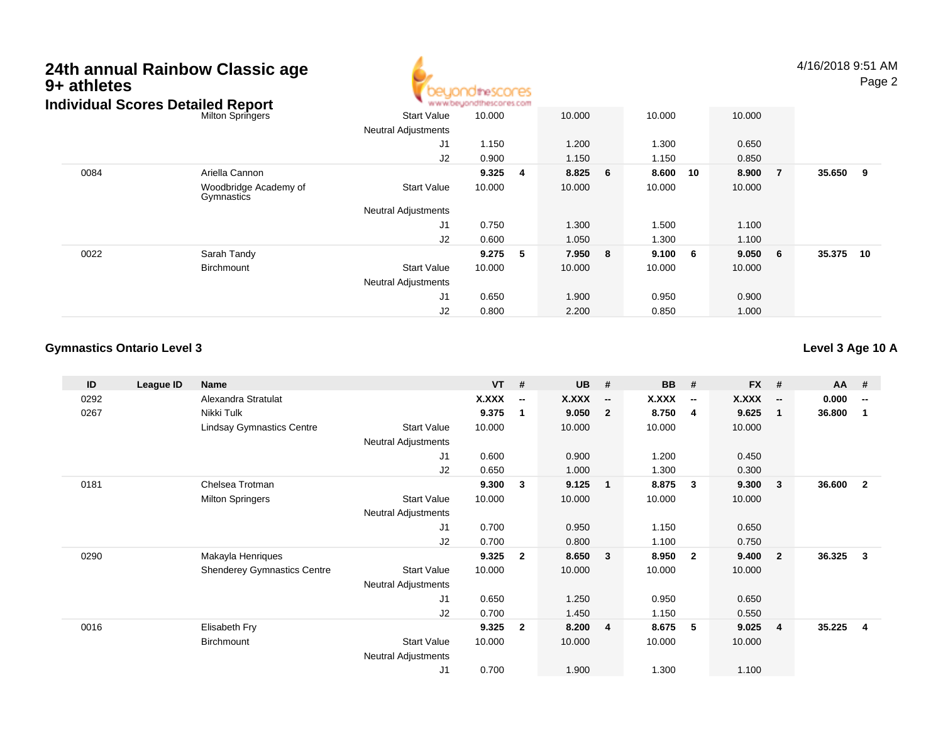## **24th annual Rainbow Classic age9+ athletes**



4/16/2018 9:51 AMPage 2

|      | Individual Scores Detailed Report   |                            | www.beyondthescores.com |     |        |   |         |    |        |                |        |    |
|------|-------------------------------------|----------------------------|-------------------------|-----|--------|---|---------|----|--------|----------------|--------|----|
|      | <b>Milton Springers</b>             | <b>Start Value</b>         | 10.000                  |     | 10.000 |   | 10.000  |    | 10.000 |                |        |    |
|      |                                     | <b>Neutral Adjustments</b> |                         |     |        |   |         |    |        |                |        |    |
|      |                                     | J1                         | 1.150                   |     | 1.200  |   | 1.300   |    | 0.650  |                |        |    |
|      |                                     | J2                         | 0.900                   |     | 1.150  |   | 1.150   |    | 0.850  |                |        |    |
| 0084 | Ariella Cannon                      |                            | 9.325                   | -4  | 8.825  | 6 | 8.600   | 10 | 8.900  | $\overline{7}$ | 35.650 | 9  |
|      | Woodbridge Academy of<br>Gymnastics | <b>Start Value</b>         | 10.000                  |     | 10.000 |   | 10.000  |    | 10.000 |                |        |    |
|      |                                     | <b>Neutral Adjustments</b> |                         |     |        |   |         |    |        |                |        |    |
|      |                                     | J1                         | 0.750                   |     | 1.300  |   | 1.500   |    | 1.100  |                |        |    |
|      |                                     | J2                         | 0.600                   |     | 1.050  |   | 1.300   |    | 1.100  |                |        |    |
| 0022 | Sarah Tandy                         |                            | 9.275                   | - 5 | 7.950  | 8 | 9.100 6 |    | 9.050  | 6              | 35.375 | 10 |
|      | Birchmount                          | <b>Start Value</b>         | 10.000                  |     | 10.000 |   | 10.000  |    | 10.000 |                |        |    |
|      |                                     | <b>Neutral Adjustments</b> |                         |     |        |   |         |    |        |                |        |    |
|      |                                     | J1                         | 0.650                   |     | 1.900  |   | 0.950   |    | 0.900  |                |        |    |
|      |                                     | J2                         | 0.800                   |     | 2.200  |   | 0.850   |    | 1.000  |                |        |    |

#### **Gymnastics Ontario Level 3Level 3 Age 10 A**

**ID League ID Name VT # UB # BB # FX # AA #** 0292 Alexandra Stratulat **X.XXX -- X.XXX -- X.XXX -- X.XXX -- 0.000 --** 0267 Nikki Tulk **9.375 <sup>1</sup> 9.050 <sup>2</sup> 8.750 <sup>4</sup> 9.625 <sup>1</sup> 36.800 <sup>1</sup>** Lindsay Gymnastics Centre Start Value 10.000 10.000 10.000 10.000 Neutral Adjustments J1 0.600 0.900 1.200 0.450 J2 0.650 1.000 1.300 0.300 0181 Chelsea Trotman **9.300 <sup>3</sup> 9.125 <sup>1</sup> 8.875 <sup>3</sup> 9.300 <sup>3</sup> 36.600 <sup>2</sup>** Milton Springers Start Valuee 10.000 10.000 10.000 10.000 Neutral Adjustments J1 0.700 0.950 1.150 0.650 J2 0.700 0.800 1.100 0.750 0290 Makayla Henriques **9.325 <sup>2</sup> 8.650 <sup>3</sup> 8.950 <sup>2</sup> 9.400 <sup>2</sup> 36.325 <sup>3</sup>** Shenderey Gymnastics Centre Start Value 10.000 10.000 10.000 10.000 Neutral Adjustments J1 0.650 1.250 0.950 0.650 J2 0.700 1.450 1.150 0.550 0016 Elisabeth Fry **9.325 <sup>2</sup> 8.200 <sup>4</sup> 8.675 <sup>5</sup> 9.025 <sup>4</sup> 35.225 <sup>4</sup> Birchmount**  Start Valuee 10.000 10.000 10.000 10.000 Neutral Adjustments J10.700 1.900 1.300 1.100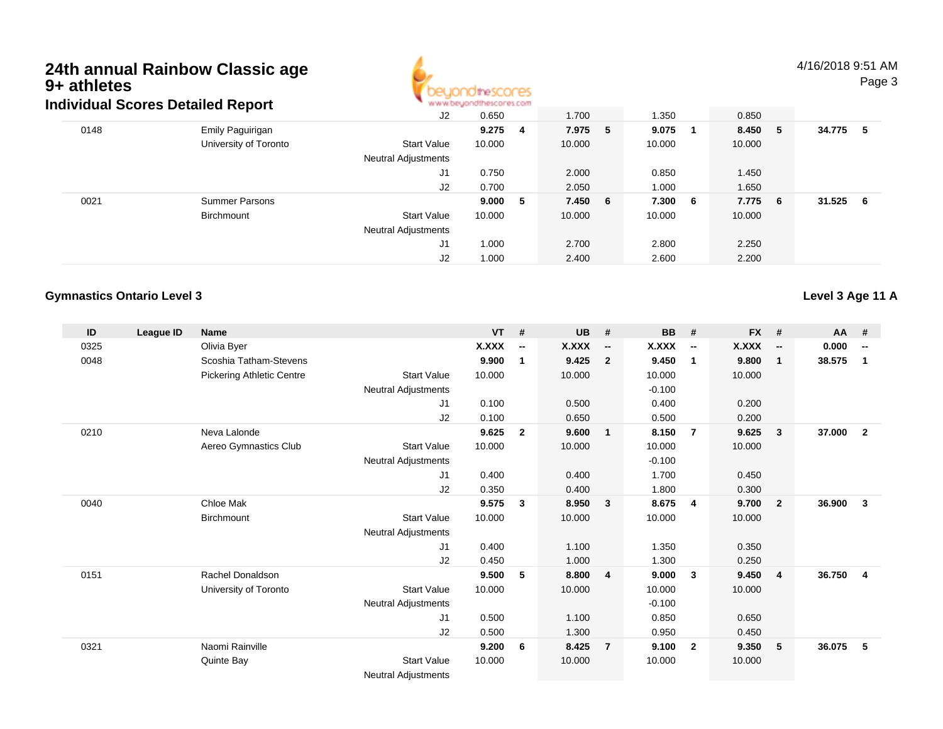

4/16/2018 9:51 AMPage 3

|                       | J2                                        | 0.650  |    | 1.700                    | 1.350              | 0.850          |            |     |
|-----------------------|-------------------------------------------|--------|----|--------------------------|--------------------|----------------|------------|-----|
| Emily Paguirigan      |                                           |        |    |                          | 9.075              | 8.450          | 34.775     | -5  |
| University of Toronto | <b>Start Value</b><br>Neutral Adjustments | 10.000 |    | 10.000                   | 10.000             | 10.000         |            |     |
|                       | J1                                        | 0.750  |    | 2.000                    | 0.850              | 1.450          |            |     |
|                       | J2                                        | 0.700  |    | 2.050                    | 1.000              | 1.650          |            |     |
| <b>Summer Parsons</b> |                                           |        | -5 |                          |                    | 7.775          | 31.525     | - 6 |
| Birchmount            | Start Value                               | 10.000 |    | 10.000                   | 10.000             | 10.000         |            |     |
|                       | Neutral Adjustments                       |        |    |                          |                    |                |            |     |
|                       | J1                                        | 1.000  |    | 2.700                    | 2.800              | 2.250          |            |     |
|                       | J2                                        | 1.000  |    | 2.400                    | 2.600              | 2.200          |            |     |
|                       | ulviuuai Scoles Delalleu Report           |        |    | $9.275 \quad 4$<br>9.000 | 7.975 5<br>7.450 6 | - 1<br>7.300 6 | - 5<br>- 6 |     |

#### **Gymnastics Ontario Level 3**

**Level 3 Age 11 A**

| ID   | League ID | <b>Name</b>                      |                            | <b>VT</b>    | #                        | <b>UB</b>    | #                        | <b>BB</b>    | #                        | <b>FX</b>    | #                        | AA     | #                        |
|------|-----------|----------------------------------|----------------------------|--------------|--------------------------|--------------|--------------------------|--------------|--------------------------|--------------|--------------------------|--------|--------------------------|
| 0325 |           | Olivia Byer                      |                            | <b>X.XXX</b> | $\overline{\phantom{a}}$ | <b>X.XXX</b> | $\overline{\phantom{a}}$ | <b>X.XXX</b> | $\overline{\phantom{a}}$ | <b>X.XXX</b> | $\overline{\phantom{a}}$ | 0.000  | $\overline{\phantom{a}}$ |
| 0048 |           | Scoshia Tatham-Stevens           |                            | 9.900        | $\mathbf{1}$             | 9.425        | $\overline{2}$           | 9.450        | $\overline{1}$           | 9.800        | $\overline{1}$           | 38.575 | $\mathbf 1$              |
|      |           | <b>Pickering Athletic Centre</b> | <b>Start Value</b>         | 10.000       |                          | 10.000       |                          | 10.000       |                          | 10.000       |                          |        |                          |
|      |           |                                  | Neutral Adjustments        |              |                          |              |                          | $-0.100$     |                          |              |                          |        |                          |
|      |           |                                  | J1                         | 0.100        |                          | 0.500        |                          | 0.400        |                          | 0.200        |                          |        |                          |
|      |           |                                  | J2                         | 0.100        |                          | 0.650        |                          | 0.500        |                          | 0.200        |                          |        |                          |
| 0210 |           | Neva Lalonde                     |                            | 9.625        | $\mathbf{2}$             | 9.600        | $\overline{1}$           | 8.150        | $\overline{7}$           | 9.625        | 3                        | 37.000 | $\overline{2}$           |
|      |           | Aereo Gymnastics Club            | <b>Start Value</b>         | 10.000       |                          | 10.000       |                          | 10.000       |                          | 10.000       |                          |        |                          |
|      |           |                                  | Neutral Adjustments        |              |                          |              |                          | $-0.100$     |                          |              |                          |        |                          |
|      |           |                                  | J1                         | 0.400        |                          | 0.400        |                          | 1.700        |                          | 0.450        |                          |        |                          |
|      |           |                                  | J2                         | 0.350        |                          | 0.400        |                          | 1.800        |                          | 0.300        |                          |        |                          |
| 0040 |           | Chloe Mak                        |                            | 9.575        | 3                        | 8.950        | $\overline{\mathbf{3}}$  | 8.675        | 4                        | 9.700        | $\overline{2}$           | 36.900 | 3                        |
|      |           | Birchmount                       | <b>Start Value</b>         | 10.000       |                          | 10.000       |                          | 10.000       |                          | 10.000       |                          |        |                          |
|      |           |                                  | Neutral Adjustments        |              |                          |              |                          |              |                          |              |                          |        |                          |
|      |           |                                  | J1                         | 0.400        |                          | 1.100        |                          | 1.350        |                          | 0.350        |                          |        |                          |
|      |           |                                  | J2                         | 0.450        |                          | 1.000        |                          | 1.300        |                          | 0.250        |                          |        |                          |
| 0151 |           | Rachel Donaldson                 |                            | 9.500        | 5                        | 8.800        | $\overline{4}$           | 9.000        | 3                        | 9.450        | $\overline{4}$           | 36.750 | 4                        |
|      |           | University of Toronto            | <b>Start Value</b>         | 10.000       |                          | 10.000       |                          | 10.000       |                          | 10.000       |                          |        |                          |
|      |           |                                  | <b>Neutral Adjustments</b> |              |                          |              |                          | $-0.100$     |                          |              |                          |        |                          |
|      |           |                                  | J1                         | 0.500        |                          | 1.100        |                          | 0.850        |                          | 0.650        |                          |        |                          |
|      |           |                                  | J2                         | 0.500        |                          | 1.300        |                          | 0.950        |                          | 0.450        |                          |        |                          |
| 0321 |           | Naomi Rainville                  |                            | 9.200        | 6                        | 8.425        | $\overline{7}$           | 9.100        | $\mathbf{2}$             | 9.350        | -5                       | 36.075 | 5                        |
|      |           | <b>Quinte Bay</b>                | <b>Start Value</b>         | 10.000       |                          | 10.000       |                          | 10.000       |                          | 10.000       |                          |        |                          |
|      |           |                                  | <b>Neutral Adjustments</b> |              |                          |              |                          |              |                          |              |                          |        |                          |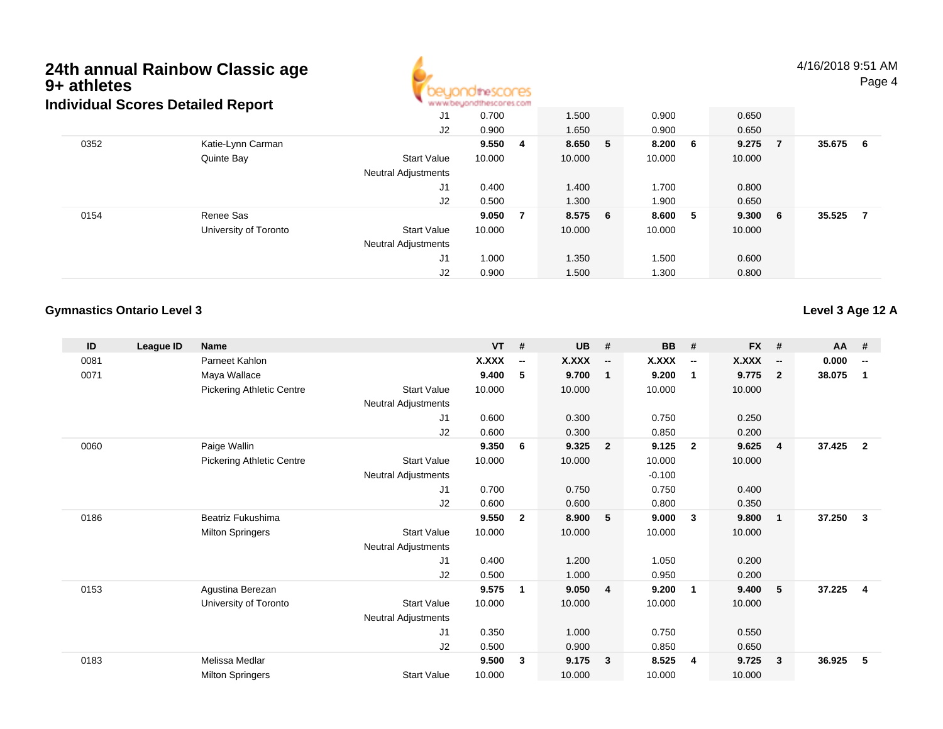

4/16/2018 9:51 AMPage 4

|      | iurviuuai Ocores Detaileu Report |                            |        |   |         |         |        |                |        |     |
|------|----------------------------------|----------------------------|--------|---|---------|---------|--------|----------------|--------|-----|
|      |                                  | J1                         | 0.700  |   | 1.500   | 0.900   | 0.650  |                |        |     |
|      |                                  | J2                         | 0.900  |   | 1.650   | 0.900   | 0.650  |                |        |     |
| 0352 | Katie-Lynn Carman                |                            | 9.5504 |   | 8.650 5 | 8.200 6 | 9.275  | - 7            | 35.675 | - 6 |
|      | Quinte Bay                       | <b>Start Value</b>         | 10.000 |   | 10.000  | 10.000  | 10.000 |                |        |     |
|      |                                  | <b>Neutral Adjustments</b> |        |   |         |         |        |                |        |     |
|      |                                  | J1                         | 0.400  |   | 1.400   | 1.700   | 0.800  |                |        |     |
|      |                                  | J2                         | 0.500  |   | 1.300   | 1.900   | 0.650  |                |        |     |
| 0154 | Renee Sas                        |                            | 9.050  | 7 | 8.575 6 | 8.600 5 | 9.300  | 6 <sub>o</sub> | 35.525 |     |
|      | University of Toronto            | <b>Start Value</b>         | 10.000 |   | 10.000  | 10.000  | 10.000 |                |        |     |
|      |                                  | <b>Neutral Adjustments</b> |        |   |         |         |        |                |        |     |
|      |                                  | J1                         | 1.000  |   | 1.350   | 1.500   | 0.600  |                |        |     |
|      |                                  | J2                         | 0.900  |   | 1.500   | 1.300   | 0.800  |                |        |     |

#### **Gymnastics Ontario Level 3**

**Level 3 Age 12 A**

| ID   | League ID | <b>Name</b>                      |                     | <b>VT</b> | #                        | <b>UB</b> | #                        | <b>BB</b> | #                        | <b>FX</b> | #                        | <b>AA</b> | #                        |
|------|-----------|----------------------------------|---------------------|-----------|--------------------------|-----------|--------------------------|-----------|--------------------------|-----------|--------------------------|-----------|--------------------------|
| 0081 |           | Parneet Kahlon                   |                     | X.XXX     | $\overline{\phantom{a}}$ | X.XXX     | $\overline{\phantom{a}}$ | X.XXX     | $\overline{\phantom{a}}$ | X.XXX     | $\overline{\phantom{a}}$ | 0.000     | $\overline{\phantom{a}}$ |
| 0071 |           | Maya Wallace                     |                     | 9.400     | 5                        | 9.700     | $\overline{\mathbf{1}}$  | 9.200     | $\mathbf{1}$             | 9.775     | $\mathbf{2}$             | 38.075    | 1                        |
|      |           | <b>Pickering Athletic Centre</b> | <b>Start Value</b>  | 10.000    |                          | 10.000    |                          | 10.000    |                          | 10.000    |                          |           |                          |
|      |           |                                  | Neutral Adjustments |           |                          |           |                          |           |                          |           |                          |           |                          |
|      |           |                                  | J1                  | 0.600     |                          | 0.300     |                          | 0.750     |                          | 0.250     |                          |           |                          |
|      |           |                                  | J2                  | 0.600     |                          | 0.300     |                          | 0.850     |                          | 0.200     |                          |           |                          |
| 0060 |           | Paige Wallin                     |                     | 9.350     | 6                        | 9.325     | $\overline{\mathbf{2}}$  | 9.125     | $\overline{\mathbf{2}}$  | 9.625     | 4                        | 37.425    | $\overline{2}$           |
|      |           | <b>Pickering Athletic Centre</b> | <b>Start Value</b>  | 10.000    |                          | 10.000    |                          | 10.000    |                          | 10.000    |                          |           |                          |
|      |           |                                  | Neutral Adjustments |           |                          |           |                          | $-0.100$  |                          |           |                          |           |                          |
|      |           |                                  | J <sub>1</sub>      | 0.700     |                          | 0.750     |                          | 0.750     |                          | 0.400     |                          |           |                          |
|      |           |                                  | J2                  | 0.600     |                          | 0.600     |                          | 0.800     |                          | 0.350     |                          |           |                          |
| 0186 |           | Beatriz Fukushima                |                     | 9.550     | $\mathbf{2}$             | 8.900     | - 5                      | 9.000     | 3                        | 9.800     | $\mathbf{1}$             | 37.250    | 3                        |
|      |           | <b>Milton Springers</b>          | <b>Start Value</b>  | 10.000    |                          | 10.000    |                          | 10.000    |                          | 10.000    |                          |           |                          |
|      |           |                                  | Neutral Adjustments |           |                          |           |                          |           |                          |           |                          |           |                          |
|      |           |                                  | J1                  | 0.400     |                          | 1.200     |                          | 1.050     |                          | 0.200     |                          |           |                          |
|      |           |                                  | J2                  | 0.500     |                          | 1.000     |                          | 0.950     |                          | 0.200     |                          |           |                          |
| 0153 |           | Agustina Berezan                 |                     | 9.575     | 1                        | 9.050     | $\overline{4}$           | 9.200     | $\overline{1}$           | 9.400     | 5                        | 37.225    | 4                        |
|      |           | University of Toronto            | <b>Start Value</b>  | 10.000    |                          | 10.000    |                          | 10.000    |                          | 10.000    |                          |           |                          |
|      |           |                                  | Neutral Adjustments |           |                          |           |                          |           |                          |           |                          |           |                          |
|      |           |                                  | J1                  | 0.350     |                          | 1.000     |                          | 0.750     |                          | 0.550     |                          |           |                          |
|      |           |                                  | J2                  | 0.500     |                          | 0.900     |                          | 0.850     |                          | 0.650     |                          |           |                          |
| 0183 |           | Melissa Medlar                   |                     | 9.500     | 3                        | 9.175     | $\overline{\mathbf{3}}$  | 8.525     | $\overline{4}$           | 9.725     | 3                        | 36.925    | 5                        |
|      |           | <b>Milton Springers</b>          | <b>Start Value</b>  | 10.000    |                          | 10.000    |                          | 10.000    |                          | 10.000    |                          |           |                          |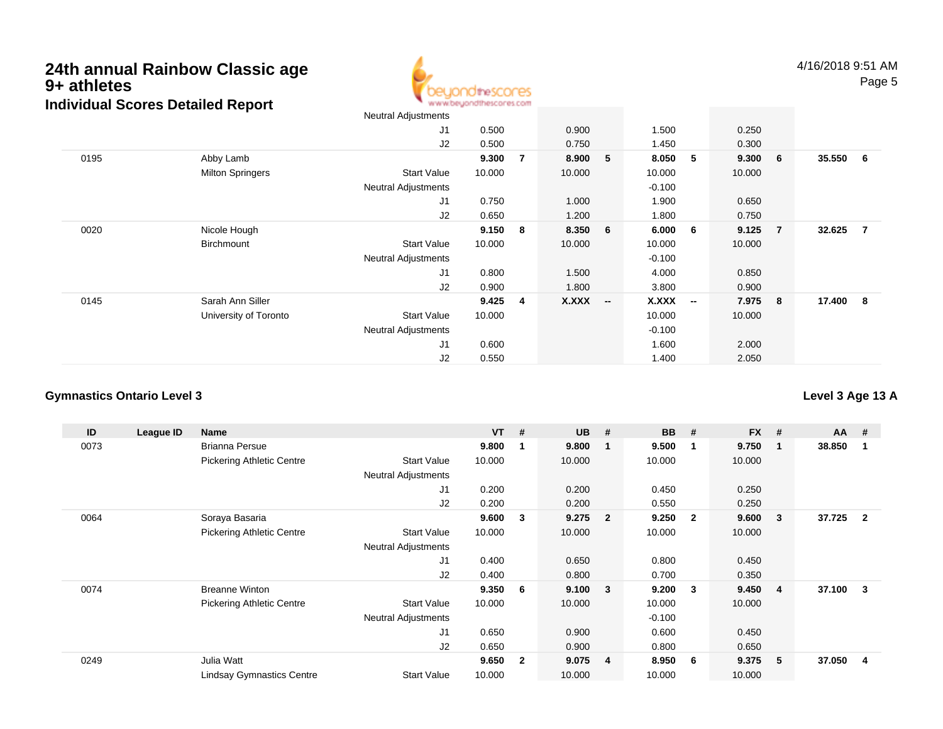

4/16/2018 9:51 AMPage 5

|      |                         | Neutral Adjustments        |        |                |              |                          |          |                          |        |                 |        |                |
|------|-------------------------|----------------------------|--------|----------------|--------------|--------------------------|----------|--------------------------|--------|-----------------|--------|----------------|
|      |                         | J <sub>1</sub>             | 0.500  |                | 0.900        |                          | 1.500    |                          | 0.250  |                 |        |                |
|      |                         | J2                         | 0.500  |                | 0.750        |                          | 1.450    |                          | 0.300  |                 |        |                |
| 0195 | Abby Lamb               |                            | 9.300  | $\overline{7}$ | 8.900 5      |                          | 8.050    | -5                       | 9.300  | $6\overline{6}$ | 35.550 | - 6            |
|      | <b>Milton Springers</b> | <b>Start Value</b>         | 10.000 |                | 10.000       |                          | 10.000   |                          | 10.000 |                 |        |                |
|      |                         | <b>Neutral Adjustments</b> |        |                |              |                          | $-0.100$ |                          |        |                 |        |                |
|      |                         | J <sub>1</sub>             | 0.750  |                | 1.000        |                          | 1.900    |                          | 0.650  |                 |        |                |
|      |                         | J2                         | 0.650  |                | 1.200        |                          | 1.800    |                          | 0.750  |                 |        |                |
| 0020 | Nicole Hough            |                            | 9.150  | 8              | 8.350 6      |                          | 6.000    | 6                        | 9.125  | $\overline{7}$  | 32.625 | $\overline{7}$ |
|      | <b>Birchmount</b>       | <b>Start Value</b>         | 10.000 |                | 10.000       |                          | 10.000   |                          | 10.000 |                 |        |                |
|      |                         | <b>Neutral Adjustments</b> |        |                |              |                          | $-0.100$ |                          |        |                 |        |                |
|      |                         | J1                         | 0.800  |                | 1.500        |                          | 4.000    |                          | 0.850  |                 |        |                |
|      |                         | J2                         | 0.900  |                | 1.800        |                          | 3.800    |                          | 0.900  |                 |        |                |
| 0145 | Sarah Ann Siller        |                            | 9.425  | $\overline{4}$ | <b>X.XXX</b> | $\overline{\phantom{a}}$ | X.XXX    | $\overline{\phantom{a}}$ | 7.975  | $_{\rm 8}$      | 17.400 | - 8            |
|      | University of Toronto   | <b>Start Value</b>         | 10.000 |                |              |                          | 10.000   |                          | 10.000 |                 |        |                |
|      |                         | <b>Neutral Adjustments</b> |        |                |              |                          | $-0.100$ |                          |        |                 |        |                |
|      |                         | J <sub>1</sub>             | 0.600  |                |              |                          | 1.600    |                          | 2.000  |                 |        |                |
|      |                         | J2                         | 0.550  |                |              |                          | 1.400    |                          | 2.050  |                 |        |                |

#### **Gymnastics Ontario Level 3**

| ID   | League ID | <b>Name</b>                      |                            | <b>VT</b> | #                       | <b>UB</b> | #                       | <b>BB</b> | #              | <b>FX</b> | # | $AA$ # |                |
|------|-----------|----------------------------------|----------------------------|-----------|-------------------------|-----------|-------------------------|-----------|----------------|-----------|---|--------|----------------|
| 0073 |           | <b>Brianna Persue</b>            |                            | 9.800     | -1                      | 9.800     | $\mathbf 1$             | 9.500     | -1             | 9.750     | 1 | 38.850 |                |
|      |           | <b>Pickering Athletic Centre</b> | <b>Start Value</b>         | 10.000    |                         | 10.000    |                         | 10.000    |                | 10.000    |   |        |                |
|      |           |                                  | <b>Neutral Adjustments</b> |           |                         |           |                         |           |                |           |   |        |                |
|      |           |                                  | J <sub>1</sub>             | 0.200     |                         | 0.200     |                         | 0.450     |                | 0.250     |   |        |                |
|      |           |                                  | J <sub>2</sub>             | 0.200     |                         | 0.200     |                         | 0.550     |                | 0.250     |   |        |                |
| 0064 |           | Soraya Basaria                   |                            | 9.600     | $\mathbf{3}$            | 9.275     | $\overline{\mathbf{2}}$ | 9.250     | $\overline{2}$ | 9.600     | 3 | 37.725 | $\overline{2}$ |
|      |           | <b>Pickering Athletic Centre</b> | <b>Start Value</b>         | 10.000    |                         | 10.000    |                         | 10.000    |                | 10.000    |   |        |                |
|      |           |                                  | <b>Neutral Adjustments</b> |           |                         |           |                         |           |                |           |   |        |                |
|      |           |                                  | J <sub>1</sub>             | 0.400     |                         | 0.650     |                         | 0.800     |                | 0.450     |   |        |                |
|      |           |                                  | J <sub>2</sub>             | 0.400     |                         | 0.800     |                         | 0.700     |                | 0.350     |   |        |                |
| 0074 |           | <b>Breanne Winton</b>            |                            | 9.350     | - 6                     | 9.100     | - 3                     | 9.200     | 3              | 9.450     | 4 | 37.100 | 3              |
|      |           | <b>Pickering Athletic Centre</b> | <b>Start Value</b>         | 10.000    |                         | 10.000    |                         | 10.000    |                | 10.000    |   |        |                |
|      |           |                                  | Neutral Adjustments        |           |                         |           |                         | $-0.100$  |                |           |   |        |                |
|      |           |                                  | J <sub>1</sub>             | 0.650     |                         | 0.900     |                         | 0.600     |                | 0.450     |   |        |                |
|      |           |                                  | J2                         | 0.650     |                         | 0.900     |                         | 0.800     |                | 0.650     |   |        |                |
| 0249 |           | Julia Watt                       |                            | 9.650     | $\overline{\mathbf{2}}$ | 9.075     | $\overline{4}$          | 8.950     | 6              | 9.375     | 5 | 37.050 | 4              |
|      |           | <b>Lindsay Gymnastics Centre</b> | <b>Start Value</b>         | 10.000    |                         | 10.000    |                         | 10.000    |                | 10.000    |   |        |                |

#### **Level 3 Age 13 A**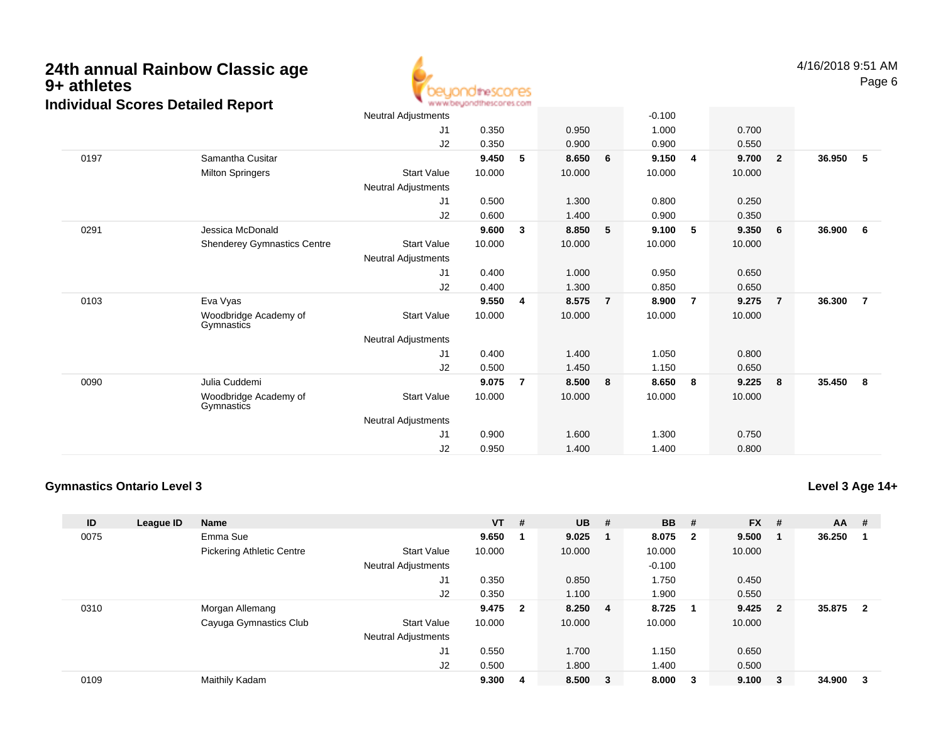www.beuondthescores.com

|      | annaaan 800n 60 Dolanoa Nopont      | Neutral Adjustments |        |                |        |                | $-0.100$ |                |        |                         |        |                |
|------|-------------------------------------|---------------------|--------|----------------|--------|----------------|----------|----------------|--------|-------------------------|--------|----------------|
|      |                                     |                     |        |                | 0.950  |                |          |                | 0.700  |                         |        |                |
|      |                                     | J1                  | 0.350  |                |        |                | 1.000    |                |        |                         |        |                |
|      |                                     | J2                  | 0.350  |                | 0.900  |                | 0.900    |                | 0.550  |                         |        |                |
| 0197 | Samantha Cusitar                    |                     | 9.450  | 5              | 8.650  | 6              | 9.150    | 4              | 9.700  | $\overline{\mathbf{2}}$ | 36.950 | -5             |
|      | <b>Milton Springers</b>             | <b>Start Value</b>  | 10.000 |                | 10.000 |                | 10.000   |                | 10.000 |                         |        |                |
|      |                                     | Neutral Adjustments |        |                |        |                |          |                |        |                         |        |                |
|      |                                     | J1                  | 0.500  |                | 1.300  |                | 0.800    |                | 0.250  |                         |        |                |
|      |                                     | J2                  | 0.600  |                | 1.400  |                | 0.900    |                | 0.350  |                         |        |                |
| 0291 | Jessica McDonald                    |                     | 9.600  | 3              | 8.850  | 5              | 9.100    | 5              | 9.350  | 6                       | 36.900 | 6              |
|      | Shenderey Gymnastics Centre         | <b>Start Value</b>  | 10.000 |                | 10.000 |                | 10.000   |                | 10.000 |                         |        |                |
|      |                                     | Neutral Adjustments |        |                |        |                |          |                |        |                         |        |                |
|      |                                     | J1                  | 0.400  |                | 1.000  |                | 0.950    |                | 0.650  |                         |        |                |
|      |                                     | J2                  | 0.400  |                | 1.300  |                | 0.850    |                | 0.650  |                         |        |                |
| 0103 | Eva Vyas                            |                     | 9.550  | 4              | 8.575  | $\overline{7}$ | 8.900    | $\overline{7}$ | 9.275  | $\overline{7}$          | 36.300 | $\overline{7}$ |
|      | Woodbridge Academy of<br>Gymnastics | <b>Start Value</b>  | 10.000 |                | 10.000 |                | 10.000   |                | 10.000 |                         |        |                |
|      |                                     | Neutral Adjustments |        |                |        |                |          |                |        |                         |        |                |
|      |                                     | J1                  | 0.400  |                | 1.400  |                | 1.050    |                | 0.800  |                         |        |                |
|      |                                     | J2                  | 0.500  |                | 1.450  |                | 1.150    |                | 0.650  |                         |        |                |
| 0090 | Julia Cuddemi                       |                     | 9.075  | $\overline{7}$ | 8.500  | 8              | 8.650    | 8              | 9.225  | - 8                     | 35.450 | 8              |
|      | Woodbridge Academy of<br>Gymnastics | Start Value         | 10.000 |                | 10.000 |                | 10.000   |                | 10.000 |                         |        |                |
|      |                                     | Neutral Adjustments |        |                |        |                |          |                |        |                         |        |                |
|      |                                     | J1                  | 0.900  |                | 1.600  |                | 1.300    |                | 0.750  |                         |        |                |
|      |                                     | J2                  | 0.950  |                | 1.400  |                | 1.400    |                | 0.800  |                         |        |                |
|      |                                     |                     |        |                |        |                |          |                |        |                         |        |                |

#### **Gymnastics Ontario Level 3**

**Level 3 Age 14+**

| ID   | League ID | <b>Name</b>                      |                            | $VT$ #  |    | <b>UB</b> | - #          | <b>BB</b> | #                       | <b>FX</b> | #                       | $AA$ # |                |
|------|-----------|----------------------------------|----------------------------|---------|----|-----------|--------------|-----------|-------------------------|-----------|-------------------------|--------|----------------|
| 0075 |           | Emma Sue                         |                            | 9.650   |    | 9.025     |              | 8.075     | $\overline{\mathbf{2}}$ | 9.500     |                         | 36.250 |                |
|      |           | <b>Pickering Athletic Centre</b> | <b>Start Value</b>         | 10.000  |    | 10.000    |              | 10.000    |                         | 10.000    |                         |        |                |
|      |           |                                  | <b>Neutral Adjustments</b> |         |    |           |              | $-0.100$  |                         |           |                         |        |                |
|      |           |                                  | J1                         | 0.350   |    | 0.850     |              | 1.750     |                         | 0.450     |                         |        |                |
|      |           |                                  | J2                         | 0.350   |    | 1.100     |              | 1.900     |                         | 0.550     |                         |        |                |
| 0310 |           | Morgan Allemang                  |                            | 9.475 2 |    | 8.250 4   |              | 8.725     | -1                      | 9.425     | $\overline{\mathbf{2}}$ | 35.875 | $\overline{2}$ |
|      |           | Cayuga Gymnastics Club           | <b>Start Value</b>         | 10.000  |    | 10.000    |              | 10.000    |                         | 10.000    |                         |        |                |
|      |           |                                  | <b>Neutral Adjustments</b> |         |    |           |              |           |                         |           |                         |        |                |
|      |           |                                  | J1                         | 0.550   |    | 1.700     |              | 1.150     |                         | 0.650     |                         |        |                |
|      |           |                                  | J2                         | 0.500   |    | 1.800     |              | 1.400     |                         | 0.500     |                         |        |                |
| 0109 |           | Maithily Kadam                   |                            | 9.300   | -4 | 8.500     | $\mathbf{3}$ | 8.000     | 3                       | 9.100     | 3                       | 34.900 | 3              |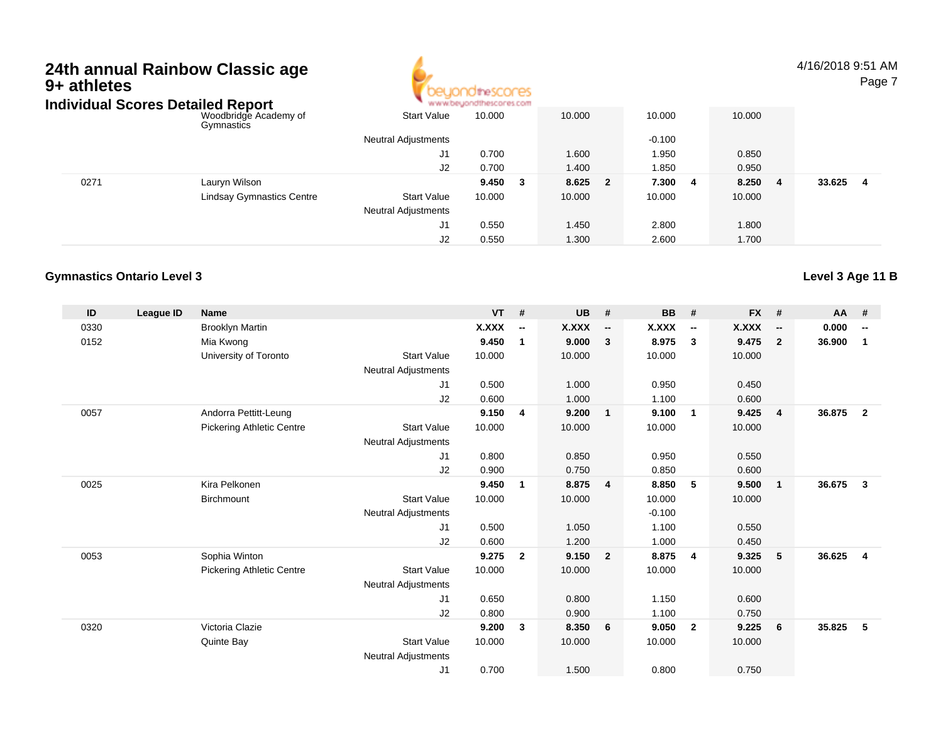# **24th annual Rainbow Classic age 9+ athletes**



4/16/2018 9:51 AMPage 7

| Individual Scores Detailed Report |                                     |                            | www.beyondthescores.com |        |               |                         |              |
|-----------------------------------|-------------------------------------|----------------------------|-------------------------|--------|---------------|-------------------------|--------------|
|                                   | Woodbridge Academy of<br>Gymnastics | <b>Start Value</b>         | 10.000                  | 10.000 | 10.000        | 10.000                  |              |
|                                   |                                     | <b>Neutral Adjustments</b> |                         |        | $-0.100$      |                         |              |
|                                   |                                     | J1                         | 0.700                   | 1.600  | 1.950         | 0.850                   |              |
|                                   |                                     | J2                         | 0.700                   | 1.400  | 1.850         | 0.950                   |              |
| 0271                              | Lauryn Wilson                       |                            | 9.450 3                 | 8.625  | 7.300 4<br>-2 | 8.250<br>$\blacksquare$ | 33.625<br>-4 |
|                                   | <b>Lindsay Gymnastics Centre</b>    | <b>Start Value</b>         | 10.000                  | 10.000 | 10.000        | 10.000                  |              |
|                                   |                                     | <b>Neutral Adjustments</b> |                         |        |               |                         |              |
|                                   |                                     | J1                         | 0.550                   | 1.450  | 2.800         | 1.800                   |              |
|                                   |                                     | J2                         | 0.550                   | 1.300  | 2.600         | 1.700                   |              |

#### **Gymnastics Ontario Level 3**

| ID   | <b>League ID</b> | <b>Name</b>                      |                            | VT     | #                        | <b>UB</b>    | #                        | <b>BB</b> | #                        | <b>FX</b>    | #                        | AA     | #                        |
|------|------------------|----------------------------------|----------------------------|--------|--------------------------|--------------|--------------------------|-----------|--------------------------|--------------|--------------------------|--------|--------------------------|
| 0330 |                  | <b>Brooklyn Martin</b>           |                            | X.XXX  | $\overline{\phantom{a}}$ | <b>X.XXX</b> | $\overline{\phantom{a}}$ | X.XXX     | $\overline{\phantom{a}}$ | <b>X.XXX</b> | $\overline{\phantom{a}}$ | 0.000  | $\overline{\phantom{a}}$ |
| 0152 |                  | Mia Kwong                        |                            | 9.450  | $\mathbf{1}$             | 9.000        | $\overline{\mathbf{3}}$  | 8.975     | 3                        | 9.475        | $\overline{2}$           | 36.900 | $\mathbf 1$              |
|      |                  | University of Toronto            | <b>Start Value</b>         | 10.000 |                          | 10.000       |                          | 10.000    |                          | 10.000       |                          |        |                          |
|      |                  |                                  | Neutral Adjustments        |        |                          |              |                          |           |                          |              |                          |        |                          |
|      |                  |                                  | J1                         | 0.500  |                          | 1.000        |                          | 0.950     |                          | 0.450        |                          |        |                          |
|      |                  |                                  | J2                         | 0.600  |                          | 1.000        |                          | 1.100     |                          | 0.600        |                          |        |                          |
| 0057 |                  | Andorra Pettitt-Leung            |                            | 9.150  | $\overline{4}$           | 9.200        | $\overline{1}$           | 9.100     | $\overline{1}$           | 9.425        | 4                        | 36.875 | $\overline{2}$           |
|      |                  | <b>Pickering Athletic Centre</b> | <b>Start Value</b>         | 10.000 |                          | 10.000       |                          | 10.000    |                          | 10.000       |                          |        |                          |
|      |                  |                                  | Neutral Adjustments        |        |                          |              |                          |           |                          |              |                          |        |                          |
|      |                  |                                  | J1                         | 0.800  |                          | 0.850        |                          | 0.950     |                          | 0.550        |                          |        |                          |
|      |                  |                                  | J2                         | 0.900  |                          | 0.750        |                          | 0.850     |                          | 0.600        |                          |        |                          |
| 0025 |                  | Kira Pelkonen                    |                            | 9.450  | 1                        | 8.875        | $\overline{4}$           | 8.850     | -5                       | 9.500        | $\mathbf{1}$             | 36.675 | $\mathbf{3}$             |
|      |                  | Birchmount                       | <b>Start Value</b>         | 10.000 |                          | 10.000       |                          | 10.000    |                          | 10.000       |                          |        |                          |
|      |                  |                                  | Neutral Adjustments        |        |                          |              |                          | $-0.100$  |                          |              |                          |        |                          |
|      |                  |                                  | J1                         | 0.500  |                          | 1.050        |                          | 1.100     |                          | 0.550        |                          |        |                          |
|      |                  |                                  | J2                         | 0.600  |                          | 1.200        |                          | 1.000     |                          | 0.450        |                          |        |                          |
| 0053 |                  | Sophia Winton                    |                            | 9.275  | $\overline{2}$           | 9.150        | $\overline{\mathbf{2}}$  | 8.875     | $\overline{4}$           | 9.325        | 5                        | 36.625 | $\overline{4}$           |
|      |                  | <b>Pickering Athletic Centre</b> | <b>Start Value</b>         | 10.000 |                          | 10.000       |                          | 10.000    |                          | 10.000       |                          |        |                          |
|      |                  |                                  | <b>Neutral Adjustments</b> |        |                          |              |                          |           |                          |              |                          |        |                          |
|      |                  |                                  | J1                         | 0.650  |                          | 0.800        |                          | 1.150     |                          | 0.600        |                          |        |                          |
|      |                  |                                  | J2                         | 0.800  |                          | 0.900        |                          | 1.100     |                          | 0.750        |                          |        |                          |
| 0320 |                  | Victoria Clazie                  |                            | 9.200  | $\mathbf{3}$             | 8.350        | 6                        | 9.050     | $\overline{\mathbf{2}}$  | 9.225        | 6                        | 35.825 | 5                        |
|      |                  | Quinte Bay                       | <b>Start Value</b>         | 10.000 |                          | 10.000       |                          | 10.000    |                          | 10.000       |                          |        |                          |
|      |                  |                                  | <b>Neutral Adjustments</b> |        |                          |              |                          |           |                          |              |                          |        |                          |
|      |                  |                                  | J1                         | 0.700  |                          | 1.500        |                          | 0.800     |                          | 0.750        |                          |        |                          |

**Level 3 Age 11 B**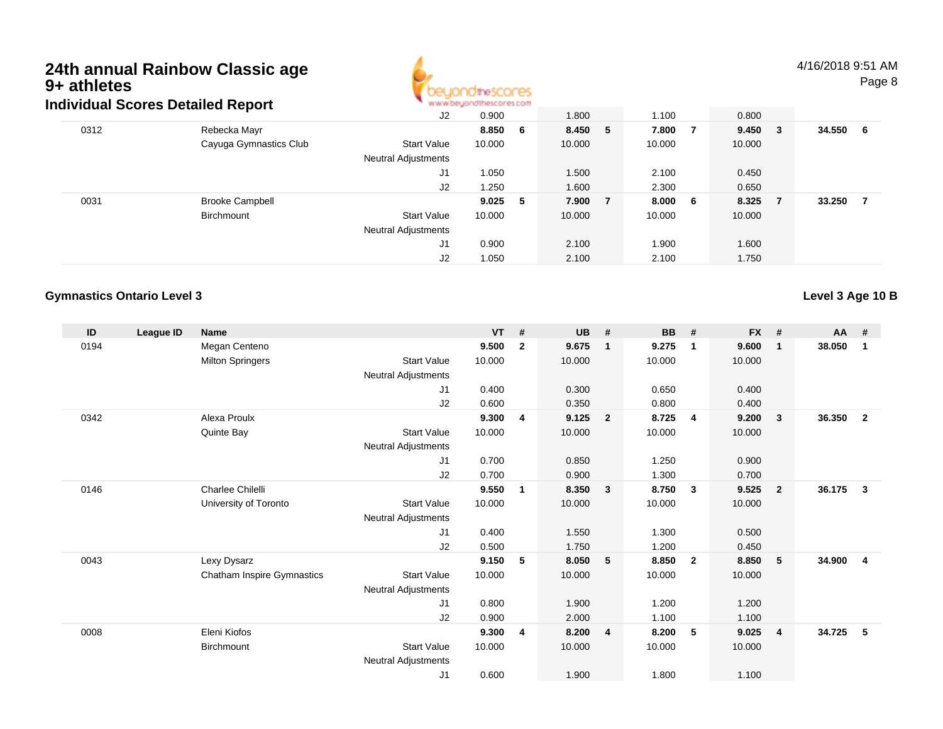

4/16/2018 9:51 AMPage 8

|      | dividual occides Detailed Report | J2                  | 0.900     | 1.800   | 1.100   |     | 0.800  |     |        |    |
|------|----------------------------------|---------------------|-----------|---------|---------|-----|--------|-----|--------|----|
| 0312 | Rebecka Mayr                     |                     | 8.850 6   | 8.450 5 | 7.800   | - 7 | 9.450  | - 3 | 34.550 | -6 |
|      | Cayuga Gymnastics Club           | <b>Start Value</b>  | 10.000    | 10.000  | 10.000  |     | 10.000 |     |        |    |
|      |                                  | Neutral Adjustments |           |         |         |     |        |     |        |    |
|      |                                  | J1                  | 1.050     | 1.500   | 2.100   |     | 0.450  |     |        |    |
|      |                                  | J2                  | 1.250     | 1.600   | 2.300   |     | 0.650  |     |        |    |
| 0031 | <b>Brooke Campbell</b>           |                     | $9.025$ 5 | 7.900 7 | 8.000 6 |     | 8.325  | - 7 | 33.250 | 7  |
|      | Birchmount                       | <b>Start Value</b>  | 10.000    | 10.000  | 10.000  |     | 10.000 |     |        |    |
|      |                                  | Neutral Adjustments |           |         |         |     |        |     |        |    |
|      |                                  | J1                  | 0.900     | 2.100   | 1.900   |     | 1.600  |     |        |    |
|      |                                  | J2                  | 1.050     | 2.100   | 2.100   |     | 1.750  |     |        |    |

#### **Gymnastics Ontario Level 3**

**Level 3 Age 10 B**

| ID   | League ID | <b>Name</b>                       |                     | <b>VT</b> | #            | <b>UB</b> | #                       | <b>BB</b> | #                       | <b>FX</b> | #              | <b>AA</b> | #              |
|------|-----------|-----------------------------------|---------------------|-----------|--------------|-----------|-------------------------|-----------|-------------------------|-----------|----------------|-----------|----------------|
| 0194 |           | Megan Centeno                     |                     | 9.500     | $\mathbf{2}$ | 9.675     | $\overline{\mathbf{1}}$ | 9.275     | $\mathbf 1$             | 9.600     | $\mathbf{1}$   | 38.050    | 1              |
|      |           | <b>Milton Springers</b>           | <b>Start Value</b>  | 10.000    |              | 10.000    |                         | 10.000    |                         | 10.000    |                |           |                |
|      |           |                                   | Neutral Adjustments |           |              |           |                         |           |                         |           |                |           |                |
|      |           |                                   | J1                  | 0.400     |              | 0.300     |                         | 0.650     |                         | 0.400     |                |           |                |
|      |           |                                   | J2                  | 0.600     |              | 0.350     |                         | 0.800     |                         | 0.400     |                |           |                |
| 0342 |           | Alexa Proulx                      |                     | 9.300     | 4            | 9.125     | $\overline{2}$          | 8.725     | $\overline{4}$          | 9.200     | $\mathbf{3}$   | 36.350    | $\overline{2}$ |
|      |           | Quinte Bay                        | <b>Start Value</b>  | 10.000    |              | 10.000    |                         | 10.000    |                         | 10.000    |                |           |                |
|      |           |                                   | Neutral Adjustments |           |              |           |                         |           |                         |           |                |           |                |
|      |           |                                   | J1                  | 0.700     |              | 0.850     |                         | 1.250     |                         | 0.900     |                |           |                |
|      |           |                                   | J2                  | 0.700     |              | 0.900     |                         | 1.300     |                         | 0.700     |                |           |                |
| 0146 |           | Charlee Chilelli                  |                     | 9.550     | 1            | 8.350     | $\overline{\mathbf{3}}$ | 8.750     | -3                      | 9.525     | $\overline{2}$ | 36.175    | 3              |
|      |           | University of Toronto             | <b>Start Value</b>  | 10.000    |              | 10.000    |                         | 10.000    |                         | 10.000    |                |           |                |
|      |           |                                   | Neutral Adjustments |           |              |           |                         |           |                         |           |                |           |                |
|      |           |                                   | J1                  | 0.400     |              | 1.550     |                         | 1.300     |                         | 0.500     |                |           |                |
|      |           |                                   | J2                  | 0.500     |              | 1.750     |                         | 1.200     |                         | 0.450     |                |           |                |
| 0043 |           | Lexy Dysarz                       |                     | 9.150     | 5            | 8.050     | $-5$                    | 8.850     | $\overline{\mathbf{2}}$ | 8.850     | 5              | 34.900    | $\overline{4}$ |
|      |           | <b>Chatham Inspire Gymnastics</b> | <b>Start Value</b>  | 10.000    |              | 10.000    |                         | 10.000    |                         | 10.000    |                |           |                |
|      |           |                                   | Neutral Adjustments |           |              |           |                         |           |                         |           |                |           |                |
|      |           |                                   | J1                  | 0.800     |              | 1.900     |                         | 1.200     |                         | 1.200     |                |           |                |
|      |           |                                   | J2                  | 0.900     |              | 2.000     |                         | 1.100     |                         | 1.100     |                |           |                |
| 0008 |           | Eleni Kiofos                      |                     | 9.300     | 4            | 8.200     | -4                      | 8.200     | 5                       | 9.025     | 4              | 34.725    | 5              |
|      |           | Birchmount                        | <b>Start Value</b>  | 10.000    |              | 10.000    |                         | 10.000    |                         | 10.000    |                |           |                |
|      |           |                                   | Neutral Adjustments |           |              |           |                         |           |                         |           |                |           |                |
|      |           |                                   | J1                  | 0.600     |              | 1.900     |                         | 1.800     |                         | 1.100     |                |           |                |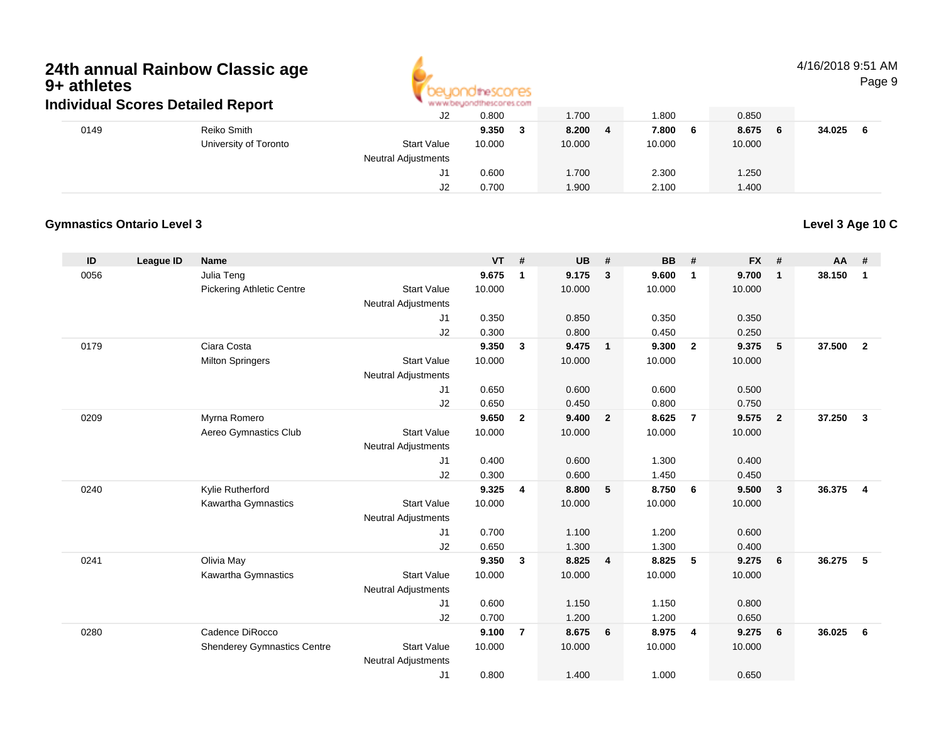

#### 4/16/2018 9:51 AMPage 9

|      | Individual Scores Detailed Report |                            | <b>M.M.M.ODARI IDILIMSTOL ILS POLIT</b> |        |              |             |        |
|------|-----------------------------------|----------------------------|-----------------------------------------|--------|--------------|-------------|--------|
|      |                                   | J2                         | 0.800                                   | 1.700  | .800         | 0.850       |        |
| 0149 | Reiko Smith                       |                            | 9.350                                   | 8.200  | 7.800<br>- 6 | 8.675<br>-6 | 34.025 |
|      | University of Toronto             | <b>Start Value</b>         | 10.000                                  | 10.000 | 10.000       | 10.000      |        |
|      |                                   | <b>Neutral Adjustments</b> |                                         |        |              |             |        |
|      |                                   | J1                         | 0.600                                   | 1.700  | 2.300        | 1.250       |        |
|      |                                   | J2                         | 0.700                                   | 1.900  | 2.100        | 1.400       |        |

#### **Gymnastics Ontario Level 3**

**Level 3 Age 10 C**

| ID   | <b>League ID</b> | <b>Name</b>                        |                            | <b>VT</b> | #              | <b>UB</b> | #                       | <b>BB</b> | #              | <b>FX</b> | #              | <b>AA</b> | #              |
|------|------------------|------------------------------------|----------------------------|-----------|----------------|-----------|-------------------------|-----------|----------------|-----------|----------------|-----------|----------------|
| 0056 |                  | Julia Teng                         |                            | 9.675     | $\mathbf{1}$   | 9.175     | 3                       | 9.600     | $\mathbf{1}$   | 9.700     | $\mathbf{1}$   | 38.150    | $\mathbf{1}$   |
|      |                  | <b>Pickering Athletic Centre</b>   | <b>Start Value</b>         | 10.000    |                | 10.000    |                         | 10.000    |                | 10.000    |                |           |                |
|      |                  |                                    | <b>Neutral Adjustments</b> |           |                |           |                         |           |                |           |                |           |                |
|      |                  |                                    | J1                         | 0.350     |                | 0.850     |                         | 0.350     |                | 0.350     |                |           |                |
|      |                  |                                    | J2                         | 0.300     |                | 0.800     |                         | 0.450     |                | 0.250     |                |           |                |
| 0179 |                  | Ciara Costa                        |                            | 9.350     | 3              | 9.475     | $\overline{1}$          | 9.300     | $\overline{2}$ | 9.375     | 5              | 37.500    | $\overline{2}$ |
|      |                  | <b>Milton Springers</b>            | <b>Start Value</b>         | 10.000    |                | 10.000    |                         | 10.000    |                | 10.000    |                |           |                |
|      |                  |                                    | <b>Neutral Adjustments</b> |           |                |           |                         |           |                |           |                |           |                |
|      |                  |                                    | J1                         | 0.650     |                | 0.600     |                         | 0.600     |                | 0.500     |                |           |                |
|      |                  |                                    | J <sub>2</sub>             | 0.650     |                | 0.450     |                         | 0.800     |                | 0.750     |                |           |                |
| 0209 |                  | Myrna Romero                       |                            | 9.650     | $\overline{2}$ | 9.400     | $\overline{\mathbf{2}}$ | 8.625     | $\overline{7}$ | 9.575     | $\overline{2}$ | 37.250    | $\mathbf{3}$   |
|      |                  | Aereo Gymnastics Club              | <b>Start Value</b>         | 10.000    |                | 10.000    |                         | 10.000    |                | 10.000    |                |           |                |
|      |                  |                                    | <b>Neutral Adjustments</b> |           |                |           |                         |           |                |           |                |           |                |
|      |                  |                                    | J1                         | 0.400     |                | 0.600     |                         | 1.300     |                | 0.400     |                |           |                |
|      |                  |                                    | J2                         | 0.300     |                | 0.600     |                         | 1.450     |                | 0.450     |                |           |                |
| 0240 |                  | Kylie Rutherford                   |                            | 9.325     | 4              | 8.800     | 5                       | 8.750     | 6              | 9.500     | 3              | 36.375    | 4              |
|      |                  | Kawartha Gymnastics                | <b>Start Value</b>         | 10.000    |                | 10.000    |                         | 10.000    |                | 10.000    |                |           |                |
|      |                  |                                    | <b>Neutral Adjustments</b> |           |                |           |                         |           |                |           |                |           |                |
|      |                  |                                    | J <sub>1</sub>             | 0.700     |                | 1.100     |                         | 1.200     |                | 0.600     |                |           |                |
|      |                  |                                    | J <sub>2</sub>             | 0.650     |                | 1.300     |                         | 1.300     |                | 0.400     |                |           |                |
| 0241 |                  | Olivia May                         |                            | 9.350     | 3              | 8.825     | $\overline{4}$          | 8.825     | 5              | 9.275     | 6              | 36.275    | 5              |
|      |                  | Kawartha Gymnastics                | <b>Start Value</b>         | 10.000    |                | 10.000    |                         | 10.000    |                | 10.000    |                |           |                |
|      |                  |                                    | <b>Neutral Adjustments</b> |           |                |           |                         |           |                |           |                |           |                |
|      |                  |                                    | J1                         | 0.600     |                | 1.150     |                         | 1.150     |                | 0.800     |                |           |                |
|      |                  |                                    | J <sub>2</sub>             | 0.700     |                | 1.200     |                         | 1.200     |                | 0.650     |                |           |                |
| 0280 |                  | Cadence DiRocco                    |                            | 9.100     | $\overline{7}$ | 8.675     | 6                       | 8.975     | $\overline{4}$ | 9.275     | 6              | 36.025    | 6              |
|      |                  | <b>Shenderey Gymnastics Centre</b> | <b>Start Value</b>         | 10.000    |                | 10.000    |                         | 10.000    |                | 10.000    |                |           |                |
|      |                  |                                    | <b>Neutral Adjustments</b> |           |                |           |                         |           |                |           |                |           |                |
|      |                  |                                    | J1                         | 0.800     |                | 1.400     |                         | 1.000     |                | 0.650     |                |           |                |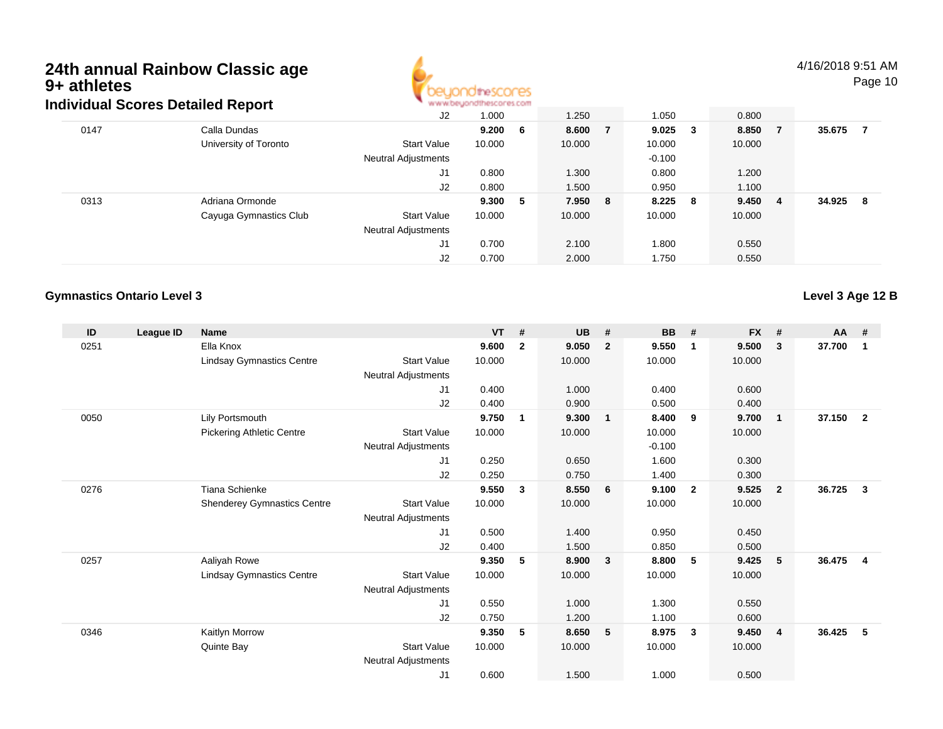

### 4/16/2018 9:51 AM

Page 10

|      | idividual Scores Detailed Report |                            | All All Alcohologing to the McSterger as a model |         |                |             |        |     |        |    |
|------|----------------------------------|----------------------------|--------------------------------------------------|---------|----------------|-------------|--------|-----|--------|----|
|      |                                  | J2                         | 1.000                                            | 1.250   |                | 1.050       | 0.800  |     |        |    |
| 0147 | Calla Dundas                     |                            | 9.200 6                                          | 8.600   | $\overline{7}$ | $9.025 \t3$ | 8.850  | - 7 | 35.675 |    |
|      | University of Toronto            | <b>Start Value</b>         | 10.000                                           | 10.000  |                | 10.000      | 10.000 |     |        |    |
|      |                                  | <b>Neutral Adjustments</b> |                                                  |         |                | $-0.100$    |        |     |        |    |
|      |                                  | J1                         | 0.800                                            | 1.300   |                | 0.800       | 1.200  |     |        |    |
|      |                                  | J2                         | 0.800                                            | 1.500   |                | 0.950       | 1.100  |     |        |    |
| 0313 | Adriana Ormonde                  |                            | 9.300 5                                          | 7.950 8 |                | 8.225 8     | 9.450  | - 4 | 34.925 | -8 |
|      | Cayuga Gymnastics Club           | <b>Start Value</b>         | 10.000                                           | 10.000  |                | 10.000      | 10.000 |     |        |    |
|      |                                  | <b>Neutral Adjustments</b> |                                                  |         |                |             |        |     |        |    |
|      |                                  | J1                         | 0.700                                            | 2.100   |                | 1.800       | 0.550  |     |        |    |
|      |                                  | J2                         | 0.700                                            | 2.000   |                | 1.750       | 0.550  |     |        |    |

#### **Gymnastics Ontario Level 3**

**Level 3 Age 12 B**

| ID   | <b>League ID</b> | <b>Name</b>                        |                            | <b>VT</b> | #            | <b>UB</b> | #                       | <b>BB</b> | #                       | <b>FX</b> | #              | $AA$ # |                |
|------|------------------|------------------------------------|----------------------------|-----------|--------------|-----------|-------------------------|-----------|-------------------------|-----------|----------------|--------|----------------|
| 0251 |                  | Ella Knox                          |                            | 9.600     | $\mathbf{2}$ | 9.050     | $\overline{2}$          | 9.550     | $\mathbf 1$             | 9.500     | 3              | 37.700 | 1              |
|      |                  | <b>Lindsay Gymnastics Centre</b>   | <b>Start Value</b>         | 10.000    |              | 10.000    |                         | 10.000    |                         | 10.000    |                |        |                |
|      |                  |                                    | Neutral Adjustments        |           |              |           |                         |           |                         |           |                |        |                |
|      |                  |                                    | J1                         | 0.400     |              | 1.000     |                         | 0.400     |                         | 0.600     |                |        |                |
|      |                  |                                    | J <sub>2</sub>             | 0.400     |              | 0.900     |                         | 0.500     |                         | 0.400     |                |        |                |
| 0050 |                  | Lily Portsmouth                    |                            | 9.750     | 1            | 9.300     | $\overline{1}$          | 8.400     | -9                      | 9.700     | $\mathbf 1$    | 37.150 | $\overline{2}$ |
|      |                  | <b>Pickering Athletic Centre</b>   | <b>Start Value</b>         | 10.000    |              | 10.000    |                         | 10.000    |                         | 10.000    |                |        |                |
|      |                  |                                    | Neutral Adjustments        |           |              |           |                         | $-0.100$  |                         |           |                |        |                |
|      |                  |                                    | J1                         | 0.250     |              | 0.650     |                         | 1.600     |                         | 0.300     |                |        |                |
|      |                  |                                    | J <sub>2</sub>             | 0.250     |              | 0.750     |                         | 1.400     |                         | 0.300     |                |        |                |
| 0276 |                  | <b>Tiana Schienke</b>              |                            | 9.550     | 3            | 8.550     | 6                       | 9.100     | $\overline{\mathbf{2}}$ | 9.525     | $\overline{2}$ | 36.725 | 3              |
|      |                  | <b>Shenderey Gymnastics Centre</b> | <b>Start Value</b>         | 10.000    |              | 10.000    |                         | 10.000    |                         | 10.000    |                |        |                |
|      |                  |                                    | Neutral Adjustments        |           |              |           |                         |           |                         |           |                |        |                |
|      |                  |                                    | J1                         | 0.500     |              | 1.400     |                         | 0.950     |                         | 0.450     |                |        |                |
|      |                  |                                    | J2                         | 0.400     |              | 1.500     |                         | 0.850     |                         | 0.500     |                |        |                |
| 0257 |                  | Aaliyah Rowe                       |                            | 9.350     | 5            | 8.900     | $\overline{\mathbf{3}}$ | 8.800     | 5                       | 9.425     | 5              | 36.475 | 4              |
|      |                  | <b>Lindsay Gymnastics Centre</b>   | <b>Start Value</b>         | 10.000    |              | 10.000    |                         | 10.000    |                         | 10.000    |                |        |                |
|      |                  |                                    | <b>Neutral Adjustments</b> |           |              |           |                         |           |                         |           |                |        |                |
|      |                  |                                    | J <sub>1</sub>             | 0.550     |              | 1.000     |                         | 1.300     |                         | 0.550     |                |        |                |
|      |                  |                                    | J2                         | 0.750     |              | 1.200     |                         | 1.100     |                         | 0.600     |                |        |                |
| 0346 |                  | Kaitlyn Morrow                     |                            | 9.350     | 5            | 8.650     | 5                       | 8.975     | 3                       | 9.450     | $\overline{4}$ | 36.425 | 5              |
|      |                  | Quinte Bay                         | <b>Start Value</b>         | 10.000    |              | 10.000    |                         | 10.000    |                         | 10.000    |                |        |                |
|      |                  |                                    | <b>Neutral Adjustments</b> |           |              |           |                         |           |                         |           |                |        |                |
|      |                  |                                    | J1                         | 0.600     |              | 1.500     |                         | 1.000     |                         | 0.500     |                |        |                |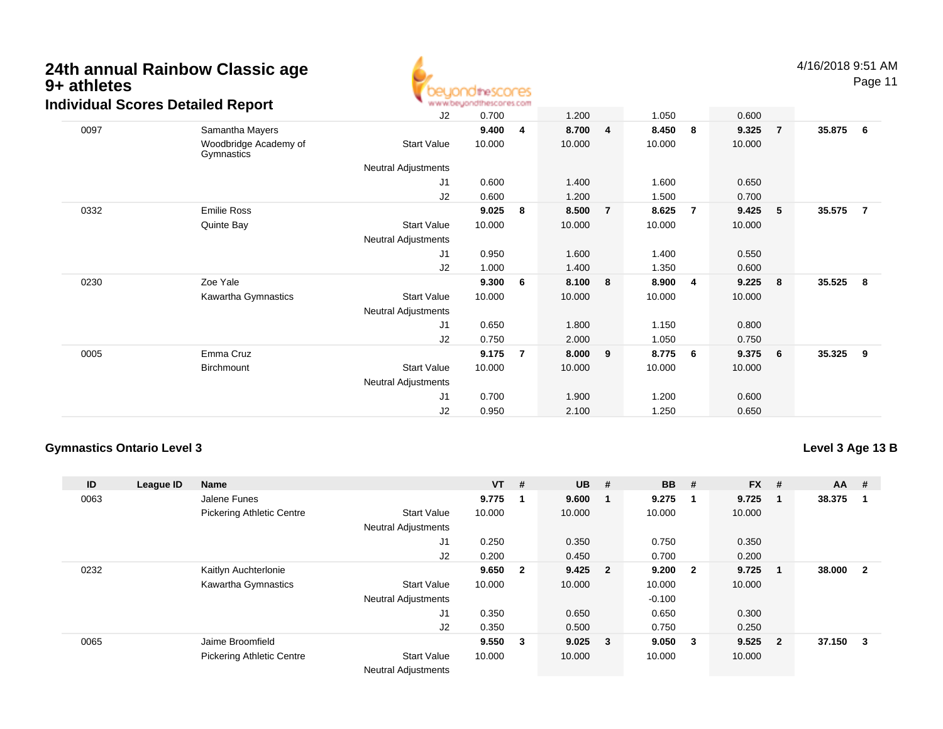

Page 11

|      | arriaaan Ooonoo Botanoa Roport      |                            |        |                |        |                |        |                |        |                |        |                |
|------|-------------------------------------|----------------------------|--------|----------------|--------|----------------|--------|----------------|--------|----------------|--------|----------------|
|      |                                     | J2                         | 0.700  |                | 1.200  |                | 1.050  |                | 0.600  |                |        |                |
| 0097 | Samantha Mayers                     |                            | 9.400  | 4              | 8.700  | $\overline{4}$ | 8.450  | 8              | 9.325  | $\overline{7}$ | 35.875 | - 6            |
|      | Woodbridge Academy of<br>Gymnastics | <b>Start Value</b>         | 10.000 |                | 10.000 |                | 10.000 |                | 10.000 |                |        |                |
|      |                                     | <b>Neutral Adjustments</b> |        |                |        |                |        |                |        |                |        |                |
|      |                                     | J <sub>1</sub>             | 0.600  |                | 1.400  |                | 1.600  |                | 0.650  |                |        |                |
|      |                                     | J2                         | 0.600  |                | 1.200  |                | 1.500  |                | 0.700  |                |        |                |
| 0332 | <b>Emilie Ross</b>                  |                            | 9.025  | 8              | 8.500  | $\overline{7}$ | 8.625  | $\overline{7}$ | 9.425  | 5              | 35.575 | $\overline{7}$ |
|      | Quinte Bay                          | <b>Start Value</b>         | 10.000 |                | 10.000 |                | 10.000 |                | 10.000 |                |        |                |
|      |                                     | Neutral Adjustments        |        |                |        |                |        |                |        |                |        |                |
|      |                                     | J1                         | 0.950  |                | 1.600  |                | 1.400  |                | 0.550  |                |        |                |
|      |                                     | J2                         | 1.000  |                | 1.400  |                | 1.350  |                | 0.600  |                |        |                |
| 0230 | Zoe Yale                            |                            | 9.300  | 6              | 8.100  | 8              | 8.900  | $\overline{4}$ | 9.225  | 8              | 35.525 | 8              |
|      | Kawartha Gymnastics                 | <b>Start Value</b>         | 10.000 |                | 10.000 |                | 10.000 |                | 10.000 |                |        |                |
|      |                                     | <b>Neutral Adjustments</b> |        |                |        |                |        |                |        |                |        |                |
|      |                                     | J1                         | 0.650  |                | 1.800  |                | 1.150  |                | 0.800  |                |        |                |
|      |                                     | J2                         | 0.750  |                | 2.000  |                | 1.050  |                | 0.750  |                |        |                |
| 0005 | Emma Cruz                           |                            | 9.175  | $\overline{7}$ | 8.000  | 9              | 8.775  | - 6            | 9.375  | - 6            | 35.325 | 9              |
|      | Birchmount                          | <b>Start Value</b>         | 10.000 |                | 10.000 |                | 10.000 |                | 10.000 |                |        |                |
|      |                                     | <b>Neutral Adjustments</b> |        |                |        |                |        |                |        |                |        |                |
|      |                                     | J <sub>1</sub>             | 0.700  |                | 1.900  |                | 1.200  |                | 0.600  |                |        |                |
|      |                                     | J2                         | 0.950  |                | 2.100  |                | 1.250  |                | 0.650  |                |        |                |
|      |                                     |                            |        |                |        |                |        |                |        |                |        |                |

#### **Gymnastics Ontario Level 3**

#### **Level 3 Age 13 B**

| ID   | League ID | <b>Name</b>                      |                            | $VT$ # |                         | $UB$ #      | <b>BB</b> | #                       | <b>FX</b> | #              | <b>AA</b> | #              |
|------|-----------|----------------------------------|----------------------------|--------|-------------------------|-------------|-----------|-------------------------|-----------|----------------|-----------|----------------|
| 0063 |           | Jalene Funes                     |                            | 9.775  | -1                      | 9.600       | 9.275     | -1                      | 9.725     | -1             | 38.375    |                |
|      |           | <b>Pickering Athletic Centre</b> | <b>Start Value</b>         | 10.000 |                         | 10.000      | 10.000    |                         | 10.000    |                |           |                |
|      |           |                                  | <b>Neutral Adjustments</b> |        |                         |             |           |                         |           |                |           |                |
|      |           |                                  | J1                         | 0.250  |                         | 0.350       | 0.750     |                         | 0.350     |                |           |                |
|      |           |                                  | J <sub>2</sub>             | 0.200  |                         | 0.450       | 0.700     |                         | 0.200     |                |           |                |
| 0232 |           | Kaitlyn Auchterlonie             |                            | 9.650  | $\overline{\mathbf{2}}$ | $9.425$ 2   | 9.200     | $\overline{\mathbf{2}}$ | 9.725     | -1             | 38.000    | $\overline{2}$ |
|      |           | Kawartha Gymnastics              | <b>Start Value</b>         | 10.000 |                         | 10.000      | 10.000    |                         | 10.000    |                |           |                |
|      |           |                                  | <b>Neutral Adjustments</b> |        |                         |             | $-0.100$  |                         |           |                |           |                |
|      |           |                                  | J1                         | 0.350  |                         | 0.650       | 0.650     |                         | 0.300     |                |           |                |
|      |           |                                  | J2                         | 0.350  |                         | 0.500       | 0.750     |                         | 0.250     |                |           |                |
| 0065 |           | Jaime Broomfield                 |                            | 9.550  | 3                       | $9.025 \t3$ | 9.050     | - 3                     | 9.525     | $\overline{2}$ | 37.150    | 3              |
|      |           | <b>Pickering Athletic Centre</b> | <b>Start Value</b>         | 10.000 |                         | 10.000      | 10.000    |                         | 10.000    |                |           |                |
|      |           |                                  | <b>Neutral Adjustments</b> |        |                         |             |           |                         |           |                |           |                |